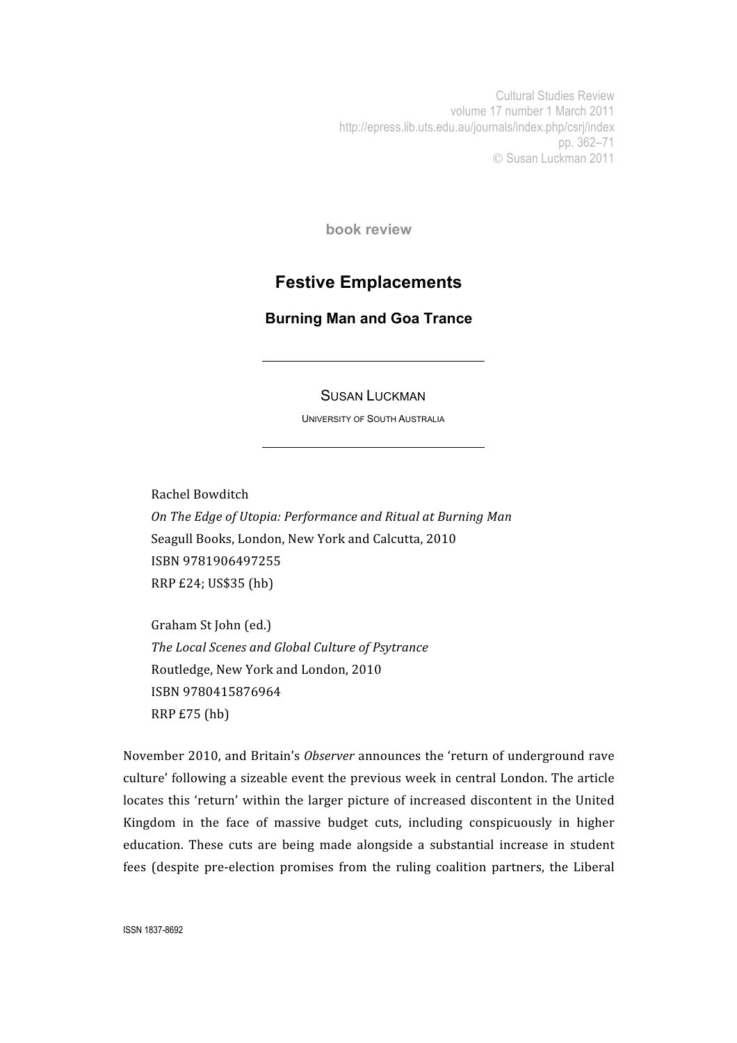Cultural Studies Review volume 17 number 1 March 2011 http://epress.lib.uts.edu.au/journals/index.php/csrj/index pp. 362–71 Susan Luckman 2011

**book review**

## **Festive Emplacements**

**Burning Man and Goa Trance**

## SUSAN LUCKMAN

UNIVERSITY OF SOUTH AUSTRALIA

Rachel
Bowditch *On
The
Edge
of
Utopia:
Performance
and
Ritual
at
Burning
Man* Seagull
Books,
London,
New
York
and
Calcutta,
2010 ISBN
9781906497255 RRP
£24;
US\$35
(hb)

Graham
St
John
(ed.) *The
Local
Scenes
and
Global
Culture
of
Psytrance* Routledge,
New
York
and
London,
2010 ISBN
9780415876964 RRP
£75
(hb)

November 2010, and Britain's *Observer* announces the 'return of underground rave culture'
following
a
sizeable
event
the
previous
week
in
central
London.
The
article locates this 'return' within the larger picture of increased discontent in the United Kingdom
 in
 the
 face
 of
 massive
 budget
 cuts,
 including
 conspicuously
 in
 higher education.
 These cuts are
 being
 made
 alongside
 a
 substantial
 increase
 in
 student fees (despite pre-election promises from the ruling coalition partners, the Liberal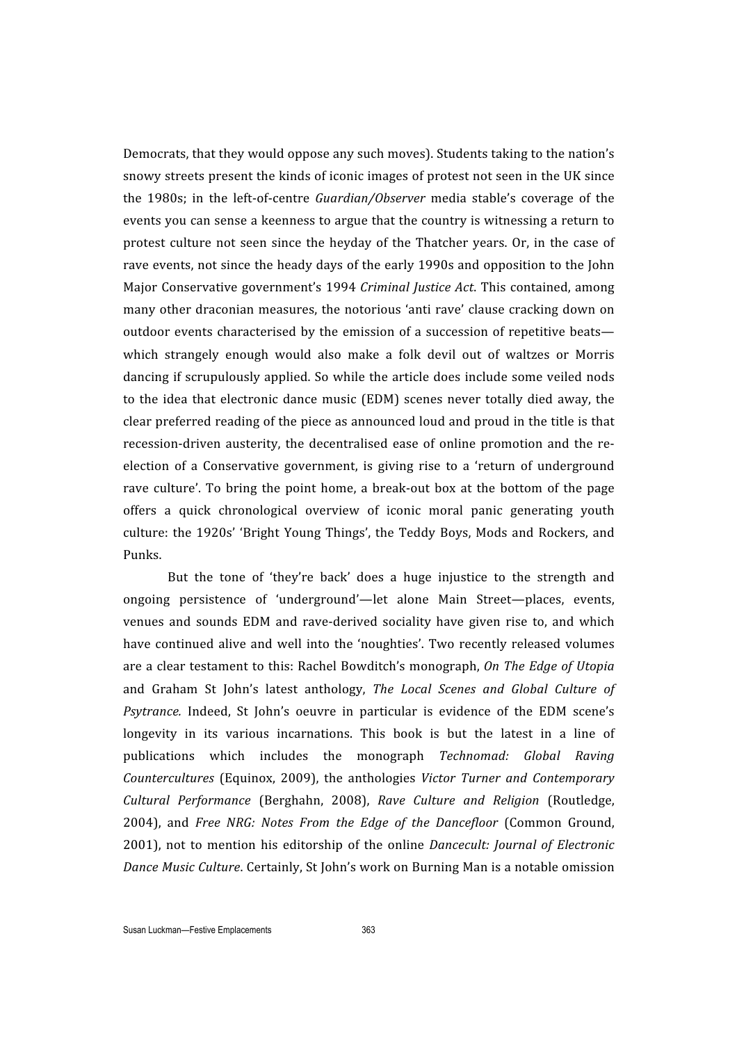Democrats,
that
they
would
oppose
any
such
moves).
Students
taking
to
the
nation's snowy streets present the kinds of iconic images of protest not seen in the UK since the 1980s; in the left-of-centre *Guardian/Observer* media stable's coverage of the events
you
can
sense
a
keenness
to
argue
that
the
country
is
witnessing
a
return
to protest culture not seen since the heyday of the Thatcher years. Or, in the case of rave events, not since the heady days of the early 1990s and opposition to the John Major
Conservative
government's
1994 *Criminal
Justice
Act*.
This contained,
among many
other
draconian
measures,
the
notorious
'anti
rave'
clause
cracking
down
on outdoor events characterised by the emission of a succession of repetitive beats which strangely enough would also make a folk devil out of waltzes or Morris dancing
if
scrupulously
applied.
So
while
 the
article
does
include
some
veiled
nods to the idea that electronic dance music (EDM) scenes never totally died away, the clear preferred reading of the piece as announced loud and proud in the title is that recession-driven austerity, the decentralised ease of online promotion and the reelection of a Conservative government, is giving rise to a 'return of underground rave culture'. To bring the point home, a break-out box at the bottom of the page offers
 a
 quick
 chronological
 overview
 of
 iconic
 moral
 panic
 generating
 youth culture:
 the
 1920s' 'Bright
 Young
 Things',
 the
 Teddy
Boys,
Mods
 and
Rockers,
 and Punks.

But the tone of 'they're back' does a huge injustice to the strength and ongoing
 persistence
 of 'underground'—let
 alone
 Main
 Street—places,
 events, venues and sounds EDM and rave-derived sociality have given rise to, and which have continued alive and well into the 'noughties'. Two recently released volumes are
a
clear
 testament
 to
 this:
Rachel
Bowditch's
monograph, *On
The
Edge
of
Utopia*  and
 Graham
 St
 John's
 latest
 anthology, *The
 Local
 Scenes
 and
 Global
 Culture
 of*  Psytrance. Indeed, St John's oeuvre in particular is evidence of the EDM scene's longevity in its various incarnations. This book is but the latest in a line of publications
 which
 includes
 the
 monograph *Technomad:
 Global
 Raving*  Countercultures (Equinox, 2009), the anthologies *Victor Turner and Contemporary* Cultural Performance (Berghahn, 2008), Rave Culture and Religion (Routledge, 2004),
 and *Free
 NRG:
 Notes
 From
 the
 Edge
 of
 the
 Dancefloor* (Common
 Ground, 2001), not
 to
 mention
 his editorship
 of
 the
 online *Dancecult:
Journal
 of
 Electronic*  Dance Music Culture. Certainly, St John's work on Burning Man is a notable omission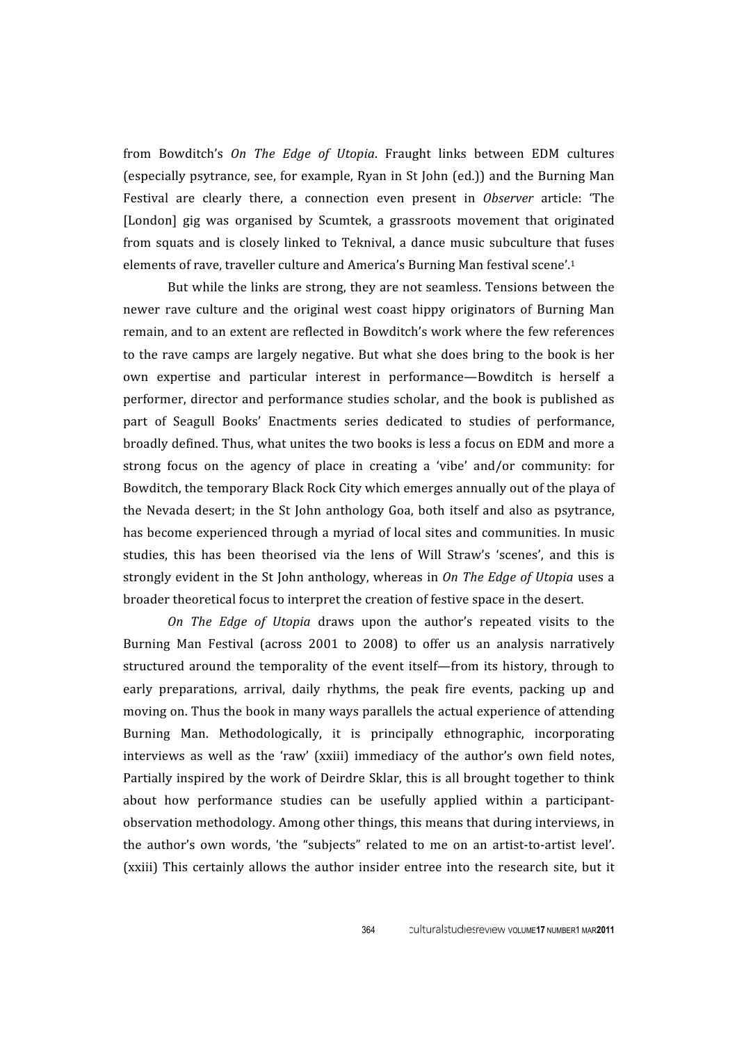from Bowditch's On The Edge of Utopia. Fraught links between EDM cultures (especially
psytrance,
see,
 for
example,
Ryan
in
St
 John
(ed.))
and
 the
Burning
Man Festival are clearly there, a connection even present in *Observer* article: 'The [London] gig was organised by Scumtek, a grassroots movement that originated from squats and is closely linked to Teknival, a dance music subculture that fuses elements of rave, traveller culture and America's Burning Man festival scene'.<sup>1</sup>

But while the links are strong, they are not seamless. Tensions between the newer rave culture and the original west coast hippy originators of Burning Man remain, and to an extent are reflected in Bowditch's work where the few references to
 the
rave
camps
are
largely
negative.
But
what
she
does
bring
 to
 the
book
is
her own expertise and particular interest in performance—Bowditch is herself a performer,
director
and
performance
studies
scholar,
and
 the
book
is
published
as part
 of
 Seagull
 Books'
 Enactments
 series
 dedicated
 to
 studies
 of
 performance, broadly
defined.
Thus,
what
unites
the
two
books
is
less
a
focus
on
EDM
and
more
a strong focus on the agency of place in creating a 'vibe' and/or community: for Bowditch, the temporary Black Rock City which emerges annually out of the playa of the Nevada desert; in the St John anthology Goa, both itself and also as psytrance, has become experienced through a myriad of local sites and communities. In music studies, this has been theorised via the lens of Will Straw's 'scenes', and this is strongly evident in the St John anthology, whereas in *On The Edge of Utopia* uses a broader
theoretical
focus
to
interpret
the
creation
of
festive
space
in
the
desert.

*On The Edge of Utopia* draws upon the author's repeated visits to the Burning Man Festival (across 2001 to 2008) to offer us an analysis narratively structured around the temporality of the event itself—from its history, through to early preparations, arrival, daily rhythms, the peak fire events, packing up and moving on. Thus the book in many ways parallels the actual experience of attending Burning Man. Methodologically, it is principally ethnographic, incorporating interviews as well as the 'raw' (xxiii) immediacy of the author's own field notes, Partially inspired by the work of Deirdre Sklar, this is all brought together to think about how performance studies can be usefully applied within a participantobservation
methodology.
Among
other
things,
this
means
that
during
interviews,
in the author's own words, 'the "subjects" related to me on an artist-to-artist level'. (xxiii) This certainly allows the author insider entree into the research site, but it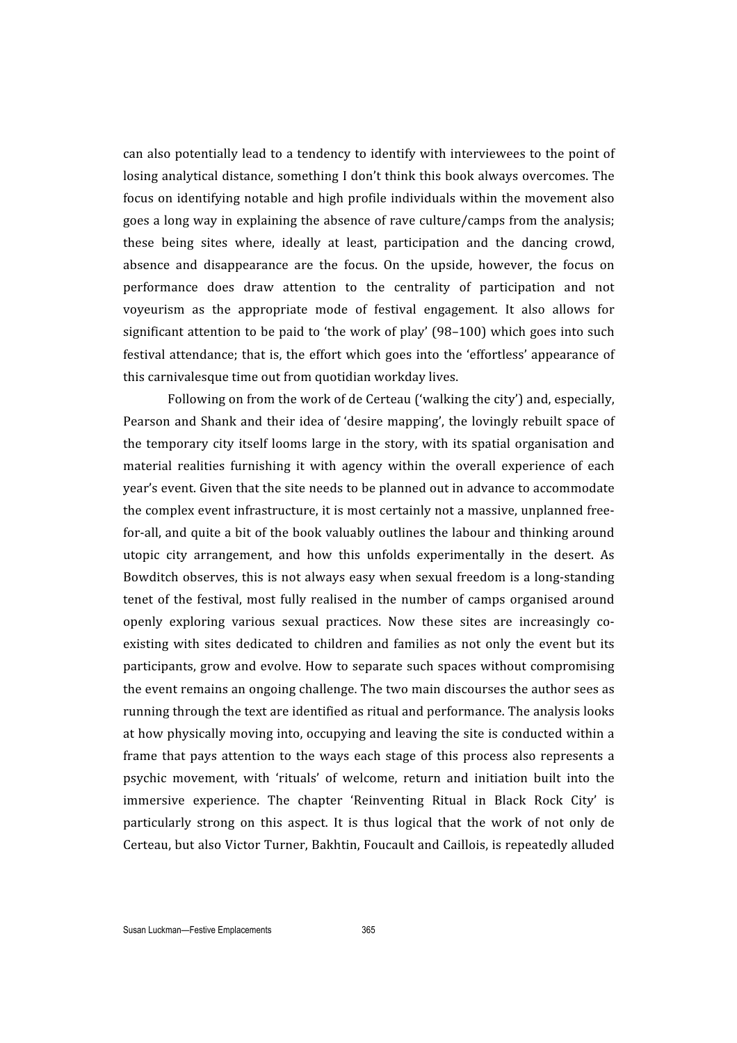can
also
potentially
lead
to
a
tendency
to
identify
with
interviewees
to
the
point
of losing
analytical
distance,
something
I
don't
think
this
book
always
overcomes.
The focus
on
identifying
notable
and
high
profile
individuals
within
 the
movement
also goes
a
long
way
in
explaining
the
absence
of
rave
culture/camps
from
the
analysis; these being sites where, ideally at least, participation and the dancing crowd, absence and disappearance are the focus. On the upside, however, the focus on performance
 does
 draw
 attention
 to
 the
 centrality
 of
 participation
 and
 not voyeurism
 as
 the
 appropriate
 mode
 of
 festival
 engagement.
 It
 also
 allows
 for significant attention to be paid to 'the work of play' (98–100) which goes into such festival attendance: that is, the effort which goes into the 'effortless' appearance of this
carnivalesque
time
out
from
quotidian
workday
lives.

Following on from the work of de Certeau ('walking the city') and, especially, Pearson and Shank and their idea of 'desire mapping', the lovingly rebuilt space of the temporary city itself looms large in the story, with its spatial organisation and material realities furnishing it with agency within the overall experience of each year's
event.
Given
that
the
site
needs
to
be
planned
out
in
advance
to
accommodate the
complex
event
infrastructure,
it
is
most
certainly
not
a
massive,
unplanned
free‐ for-all, and quite a bit of the book valuably outlines the labour and thinking around utopic city arrangement, and how this unfolds experimentally in the desert. As Bowditch observes, this is not always easy when sexual freedom is a long-standing tenet of the festival, most fully realised in the number of camps organised around openly exploring various sexual practices. Now these sites are increasingly coexisting with sites dedicated to children and families as not only the event but its participants,
grow
and
evolve.
How
 to
separate
such
spaces
without
compromising the
event
remains
an
ongoing
challenge.
The
two
main
discourses
the
author
sees
as running
through
the
text
are
identified
as
ritual
and
performance. The
analysis
looks at how physically moving into, occupying and leaving the site is conducted within a frame that pays attention to the ways each stage of this process also represents a psychic movement, with 'rituals' of welcome, return and initiation built into the immersive experience. The chapter 'Reinventing Ritual in Black Rock City' is particularly strong on this aspect. It is thus logical that the work of not only de Certeau,
but
also
Victor
Turner,
Bakhtin,
Foucault
and
Caillois,
is
repeatedly
alluded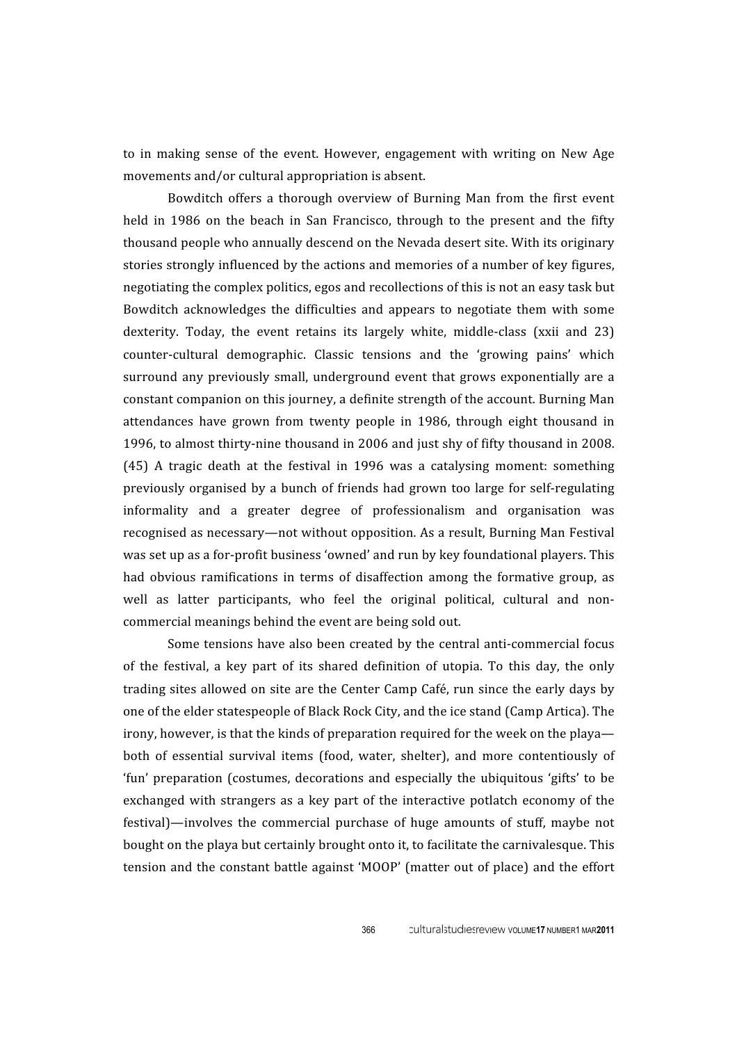to in making sense of the event. However, engagement with writing on New Age movements
and/or
cultural
appropriation
is
absent.

Bowditch offers a thorough overview of Burning Man from the first event held in 1986 on the beach in San Francisco, through to the present and the fifty thousand
people
who
annually
descend
on
the
Nevada
desert
site.
With
its
originary stories
strongly
influenced
by
the
actions
and
memories
of
a
number
of
key
figures, negotiating
the
complex
politics,
egos
and
recollections
of
this
is
not
an
easy
task
but Bowditch
 acknowledges
the difficulties
 and
 appears
 to
 negotiate
them with
 some dexterity. Today, the event retains its largely white, middle-class (xxii and 23) counter-cultural demographic. Classic tensions and the 'growing pains' which surround any previously small, underground event that grows exponentially are a constant companion on this journey, a definite strength of the account. Burning Man attendances
 have
 grown
 from twenty people
 in
 1986, through
 eight
 thousand
 in 1996, to almost thirty-nine thousand in 2006 and just shy of fifty thousand in 2008. (45)
 A
 tragic
 death
 at
 the
 festival
 in
 1996
 was
 a
 catalysing
 moment:
 something previously organised by a bunch of friends had grown too large for self-regulating informality
 and
 a
 greater
 degree
 of
 professionalism
 and
 organisation
 was recognised
as
necessary—not
without
opposition.
As
a
result,
Burning
Man
Festival was set up as a for-profit business 'owned' and run by key foundational players. This had obvious ramifications in terms of disaffection among the formative group, as well as latter participants, who feel the original political, cultural and noncommercial
meanings
behind
the
event
are
being
sold
out.

Some tensions have also been created by the central anti-commercial focus of the festival, a key part of its shared definition of utopia. To this day, the only trading
sites
allowed
on
site
are
 the
Center
Camp
Café,
run
since
 the
early
days
by one
of
the
elder
statespeople
of
Black
Rock
City,
and
the
ice
stand
(Camp
Artica).
The irony, however, is that the kinds of preparation required for the week on the playa both of essential survival items (food, water, shelter), and more contentiously of 'fun' preparation (costumes, decorations and especially the ubiquitous 'gifts' to be exchanged with strangers as a key part of the interactive potlatch economy of the festival)—involves the commercial purchase of huge amounts of stuff, maybe not bought on the playa but certainly brought onto it, to facilitate the carnivalesque. This tension
and
 the
constant
battle
against
'MOOP'
 (matter
out
of
place)
and
 the
effort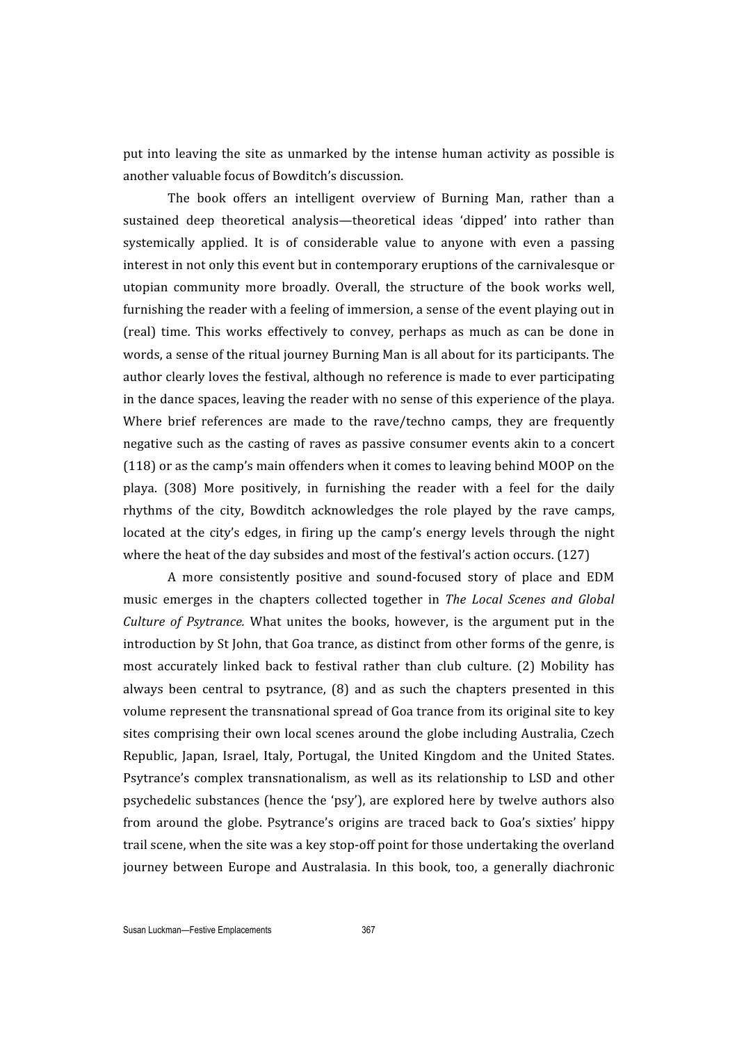put into leaving the site as unmarked by the intense human activity as possible is another
valuable
focus
of
Bowditch's
discussion.

The book offers an intelligent overview of Burning Man, rather than a sustained deep theoretical analysis—theoretical ideas 'dipped' into rather than systemically applied. It is of considerable value to anyone with even a passing interest
in
not
only
this
event
but
in
contemporary
eruptions
of
the
carnivalesque
or utopian
 community
 more
 broadly.
 Overall,
 the
 structure
 of
 the
 book
 works
 well, furnishing the reader with a feeling of immersion, a sense of the event playing out in (real) time. This works effectively to convey, perhaps as much as can be done in words, a sense of the ritual journey Burning Man is all about for its participants. The author clearly loves the festival, although no reference is made to ever participating in
the
dance
spaces,
leaving
the
reader
with
no
sense
of
this
experience
of
the
playa. Where brief references are made to the rave/techno camps, they are frequently negative
such
as
 the
casting
of
raves
as
passive
consumer
events
akin
 to
a
concert (118)
or
as
the
camp's
main
offenders
when
it
comes
to
leaving
behind
MOOP
on
the playa. (308) More positively, in furnishing the reader with a feel for the daily rhythms of the city, Bowditch acknowledges the role played by the rave camps, located at the city's edges, in firing up the camp's energy levels through the night where the heat of the day subsides and most of the festival's action occurs. (127)

A more consistently positive and sound-focused story of place and EDM music
 emerges
 in
 the
 chapters
 collected
 together
 in *The
 Local
 Scenes
 and
 Global Culture of Psytrance*. What unites the books, however, is the argument put in the introduction by St John, that Goa trance, as distinct from other forms of the genre, is most accurately linked back to festival rather than club culture. (2) Mobility has always been central to psytrance, (8) and as such the chapters presented in this volume represent the transnational spread of Goa trance from its original site to key sites
comprising
their
own
local
scenes
around
the
globe
including
Australia,
Czech Republic, Japan, Israel, Italy, Portugal, the United Kingdom and the United States. Psytrance's complex transnationalism, as well as its relationship to LSD and other psychedelic
substances
 (hence
 the
'psy'),
are
explored
here
by
 twelve
authors
also from around the globe. Psytrance's origins are traced back to Goa's sixties' hippy trail scene, when the site was a key stop-off point for those undertaking the overland journey between Europe and Australasia. In this book, too, a generally diachronic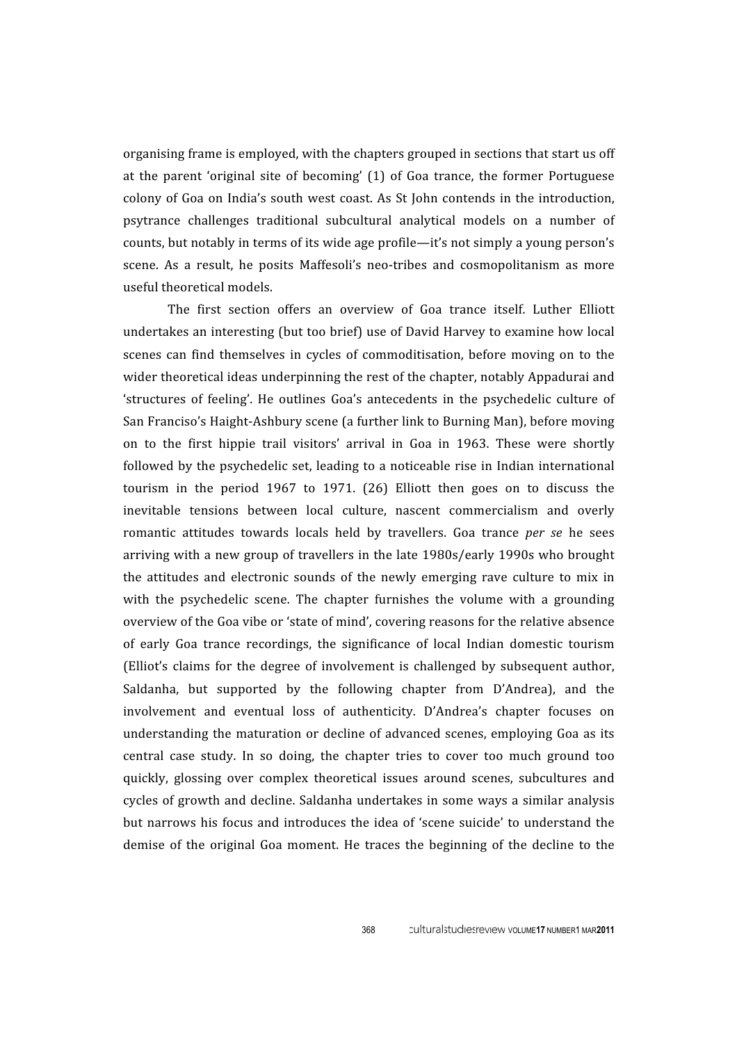organising
frame
is
employed,
with
the
chapters
grouped
in
sections
that
start
us
off at
 the
 parent 'original
 site
 of
 becoming'
 (1)
 of
 Goa
 trance,
 the
 former
 Portuguese colony
of
Goa
on
 India's
south
west
coast.
As
St
 John
contends
in
 the
introduction, psytrance challenges traditional subcultural analytical models on a number of counts, but notably in terms of its wide age profile—it's not simply a young person's scene. As a result, he posits Maffesoli's neo-tribes and cosmopolitanism as more useful
theoretical
models.

The
 first section
 offers
 an
 overview
 of
 Goa
 trance
 itself.
 Luther
 Elliott undertakes an interesting (but too brief) use of David Harvey to examine how local scenes can find themselves in cycles of commoditisation, before moving on to the wider theoretical ideas underpinning the rest of the chapter, notably Appadurai and 'structures of feeling'. He outlines Goa's antecedents in the psychedelic culture of San
Franciso's
Haight‐Ashbury
scene
(a
further
link
to
Burning
Man),
before
moving on
 to
 the
 first
 hippie
 trail
 visitors'
 arrival
 in
 Goa
 in
 1963.
 These
 were
 shortly followed by the psychedelic set, leading to a noticeable rise in Indian international tourism in the period 1967 to 1971. (26) Elliott then goes on to discuss the inevitable tensions between local culture, nascent commercialism and overly romantic attitudes towards locals held by travellers. Goa trance *per se* he sees arriving
with
a
new
group
of
travellers
in
the
late
1980s/early
1990s
who
brought the attitudes and electronic sounds of the newly emerging rave culture to mix in with the psychedelic scene. The chapter furnishes the volume with a grounding overview of the Goa vibe or 'state of mind', covering reasons for the relative absence of early Goa trance recordings, the significance of local Indian domestic tourism (Elliot's claims for the degree of involvement is challenged by subsequent author, Saldanha,
 but
 supported
 by
 the
 following
 chapter from
 D'Andrea),
 and the involvement and eventual loss of authenticity. D'Andrea's chapter focuses on understanding the maturation or decline of advanced scenes, employing Goa as its central case study. In so doing, the chapter tries to cover too much ground too quickly,
 glossing
 over
 complex
 theoretical
 issues
 around
 scenes,
 subcultures
 and cycles
of
growth
and
decline.
Saldanha
undertakes
in
some
ways
a
similar
analysis but narrows his focus and introduces the idea of 'scene suicide' to understand the demise of the original Goa moment. He traces the beginning of the decline to the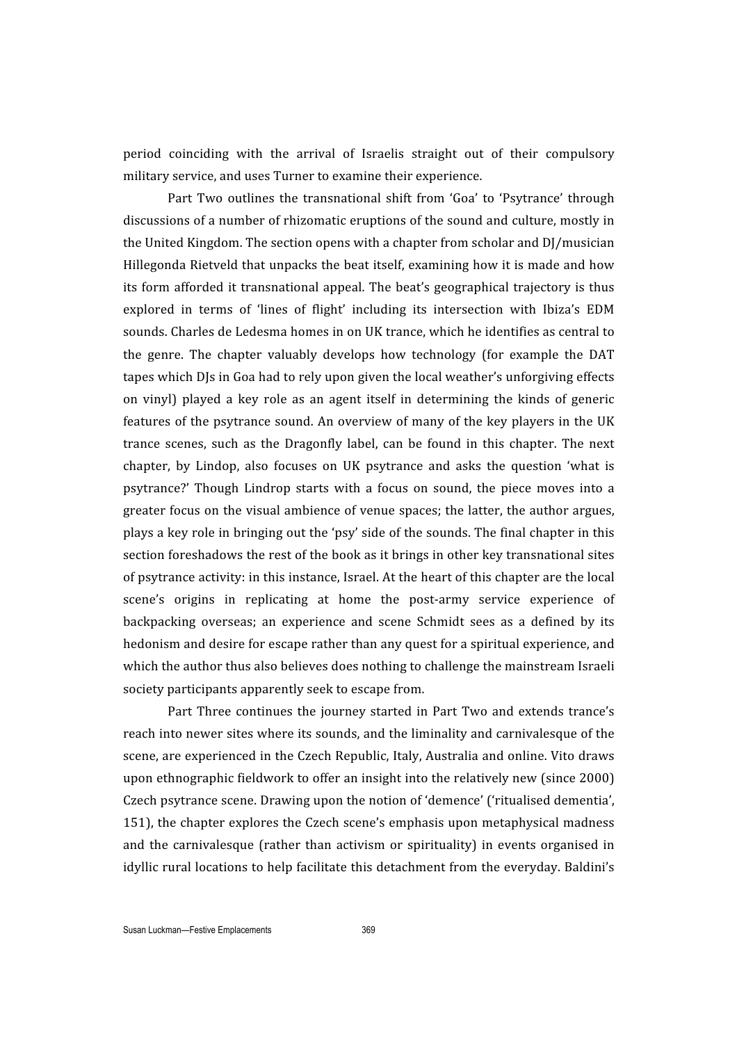period coinciding with the arrival of Israelis straight out of their compulsory military
service,
and
uses
Turner
to
examine
their
experience.

Part Two outlines the transnational shift from 'Goa' to 'Psytrance' through discussions of a number of rhizomatic eruptions of the sound and culture, mostly in the
United
Kingdom.
The
section
opens
with
a
chapter
from
scholar
and
DJ/musician Hillegonda
Rietveld
that
unpacks
the
beat
itself,
examining
how
it
is
made
and
how its form afforded it transnational appeal. The beat's geographical trajectory is thus explored in terms of 'lines of flight' including its intersection with Ibiza's EDM sounds. Charles de Ledesma homes in on UK trance, which he identifies as central to the genre. The chapter valuably develops how technology (for example the DAT tapes which DJs in Goa had to rely upon given the local weather's unforgiving effects on
 vinyl)
 played
 a
 key
 role
 as
 an
 agent
 itself
 in
 determining
 the
 kinds
 of
 generic features of the psytrance sound. An overview of many of the key players in the UK trance scenes, such as the Dragonfly label, can be found in this chapter. The next chapter, by Lindop, also focuses on UK psytrance and asks the question 'what is psytrance?'
 Though Lindrop
 starts
 with
 a
 focus
 on
 sound,
 the
 piece
 moves
 into
 a greater
 focus
on
the
visual
ambience
of
venue
spaces;
the
latter,
the
author
argues, plays
a
key
role
in
bringing
out
the
'psy'
side
of
the
sounds.
The
final
chapter
in
this section foreshadows the rest of the book as it brings in other key transnational sites of psytrance activity: in this instance. Israel. At the heart of this chapter are the local scene's origins in replicating at home the post-army service experience of backpacking overseas; an experience and scene Schmidt sees as a defined by its hedonism and desire for escape rather than any quest for a spiritual experience, and which the author thus also believes does nothing to challenge the mainstream Israeli society
participants
apparently
seek
to
escape
from.

Part Three continues the journey started in Part Two and extends trance's reach into newer sites where its sounds, and the liminality and carnivalesque of the scene, are experienced in the Czech Republic, Italy, Australia and online. Vito draws upon
ethnographic
fieldwork
to
offer
an
insight
into
the
relatively
new
(since
2000) Czech
psytrance
scene.
Drawing
upon
the
notion
of
'demence'
('ritualised
dementia', 151),
the
chapter
explores
the
Czech
scene's
emphasis
upon
metaphysical
madness and the carnivalesque (rather than activism or spirituality) in events organised in idyllic rural locations to help facilitate this detachment from the everyday. Baldini's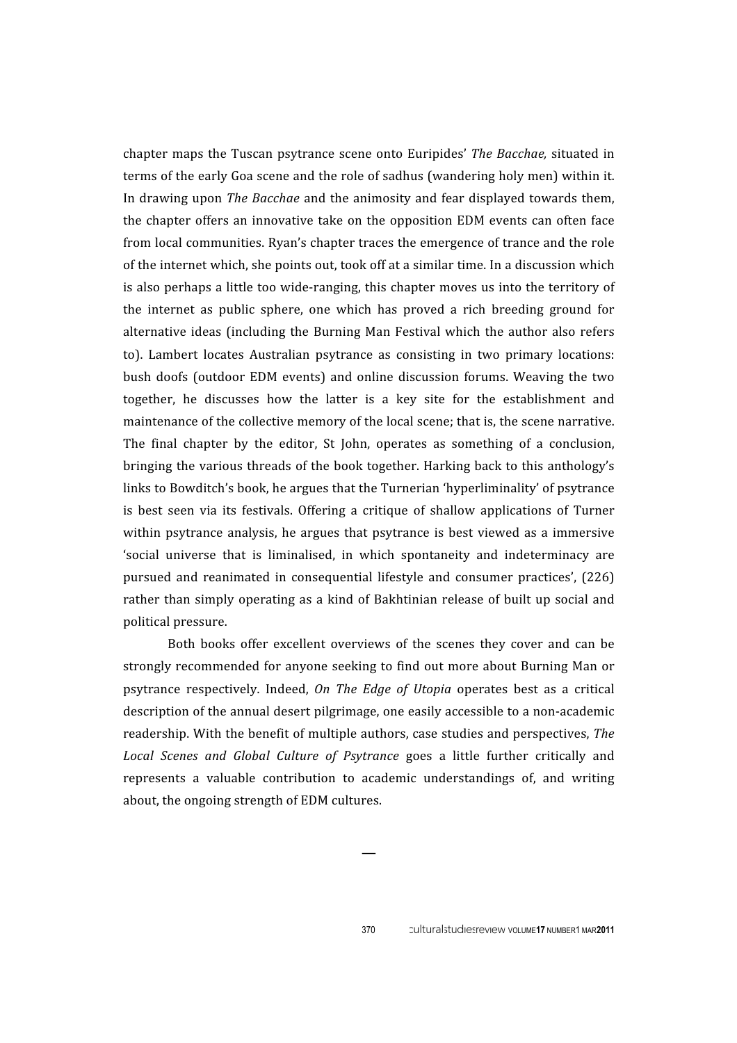chapter
maps
 the
Tuscan
psytrance
 scene
 onto
Euripides' *The
Bacchae,*  situated
in terms of the early Goa scene and the role of sadhus (wandering holy men) within it. In drawing upon *The Bacchae* and the animosity and fear displayed towards them, the
chapter
 offers
an
innovative
take
 on
 the
 opposition
EDM
events
can
 often
 face from
local
communities.
Ryan's
chapter
traces
the
emergence
of
trance
and
the
role of
the
internet
which,
she
points
out,
took
off
at
a
similar
time.
In
a
discussion
which is also perhaps a little too wide-ranging, this chapter moves us into the territory of the internet as public sphere, one which has proved a rich breeding ground for alternative ideas (including the Burning Man Festival which the author also refers to).
 Lambert
 locates
 Australian
 psytrance
 as
 consisting
 in
 two
 primary
 locations: bush
 doofs
 (outdoor
 EDM
 events)
 and
 online
 discussion
 forums.
Weaving
 the
 two together, he discusses how the latter is a key site for the establishment and maintenance
of
the
collective
memory
of
the
local
scene;
that
is,
the
scene
narrative. The final chapter by the editor, St John, operates as something of a conclusion, bringing the various threads of the book together. Harking back to this anthology's links to Bowditch's book, he argues that the Turnerian 'hyperliminality' of psytrance is best seen via its festivals. Offering a critique of shallow applications of Turner within psytrance analysis, he argues that psytrance is best viewed as a immersive 'social universe that is liminalised, in which spontaneity and indeterminacy are pursued
 and
 reanimated
 in
 consequential
 lifestyle
 and
 consumer
 practices',
 (226) rather than simply operating as a kind of Bakhtinian release of built up social and political
pressure.

Both books offer excellent overviews of the scenes they cover and can be strongly recommended for anyone seeking to find out more about Burning Man or psytrance respectively. Indeed, *On The Edge of Utopia* operates best as a critical description of the annual desert pilgrimage, one easily accessible to a non-academic readership.
With
the
benefit
of
multiple
authors,
case
studies
and
perspectives, *The*  Local Scenes and Global Culture of Psytrance goes a little further critically and represents a valuable contribution to academic understandings of, and writing about,
the
ongoing
strength
of
EDM
cultures.

—